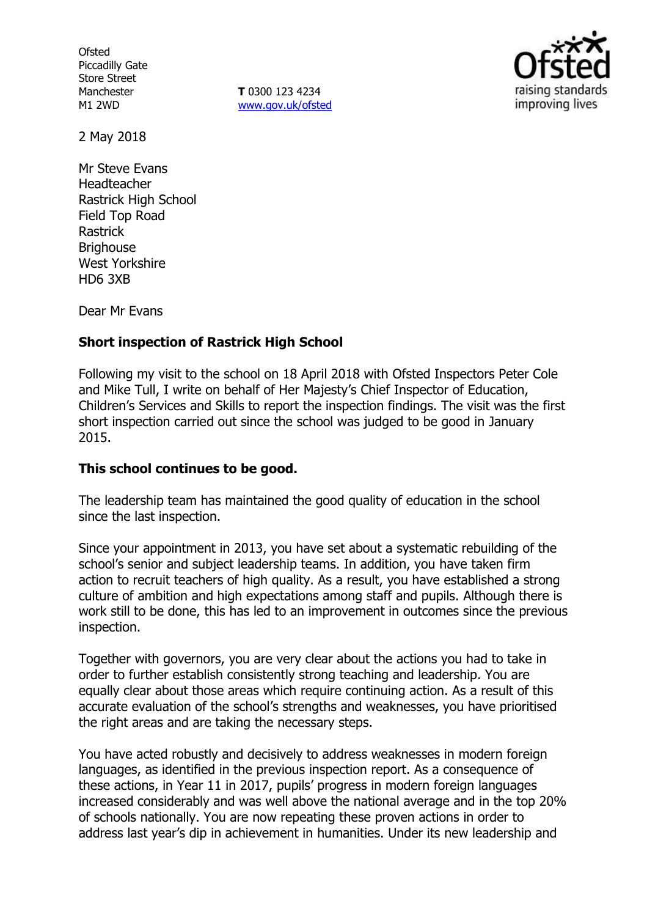**Ofsted** Piccadilly Gate Store Street Manchester M1 2WD

**T** 0300 123 4234 www.gov.uk/ofsted



2 May 2018

Mr Steve Evans Headteacher Rastrick High School Field Top Road Rastrick **Brighouse** West Yorkshire HD6 3XB

Dear Mr Evans

# **Short inspection of Rastrick High School**

Following my visit to the school on 18 April 2018 with Ofsted Inspectors Peter Cole and Mike Tull, I write on behalf of Her Majesty's Chief Inspector of Education, Children's Services and Skills to report the inspection findings. The visit was the first short inspection carried out since the school was judged to be good in January 2015.

# **This school continues to be good.**

The leadership team has maintained the good quality of education in the school since the last inspection.

Since your appointment in 2013, you have set about a systematic rebuilding of the school's senior and subject leadership teams. In addition, you have taken firm action to recruit teachers of high quality. As a result, you have established a strong culture of ambition and high expectations among staff and pupils. Although there is work still to be done, this has led to an improvement in outcomes since the previous inspection.

Together with governors, you are very clear about the actions you had to take in order to further establish consistently strong teaching and leadership. You are equally clear about those areas which require continuing action. As a result of this accurate evaluation of the school's strengths and weaknesses, you have prioritised the right areas and are taking the necessary steps.

You have acted robustly and decisively to address weaknesses in modern foreign languages, as identified in the previous inspection report. As a consequence of these actions, in Year 11 in 2017, pupils' progress in modern foreign languages increased considerably and was well above the national average and in the top 20% of schools nationally. You are now repeating these proven actions in order to address last year's dip in achievement in humanities. Under its new leadership and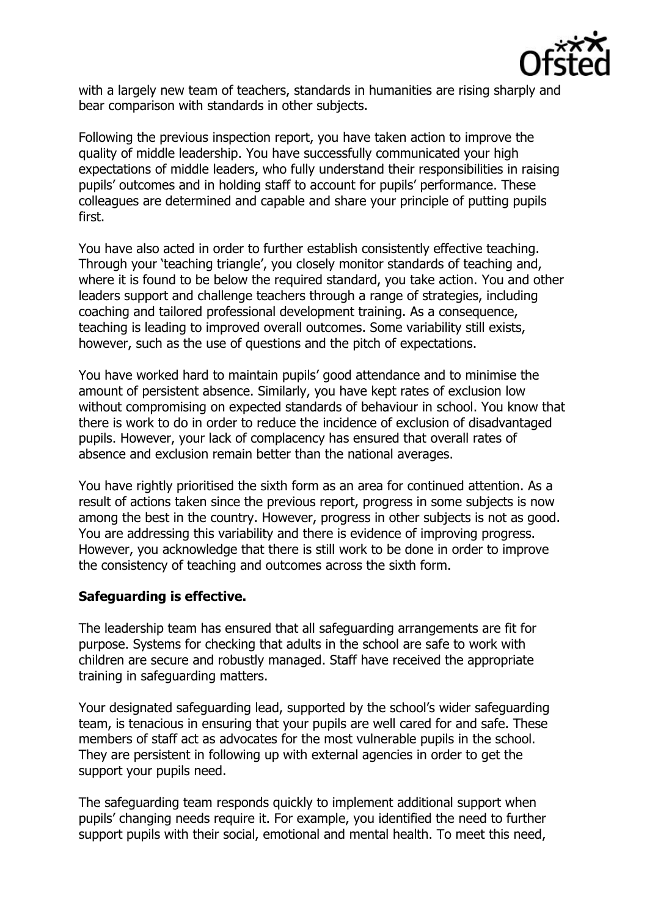

with a largely new team of teachers, standards in humanities are rising sharply and bear comparison with standards in other subjects.

Following the previous inspection report, you have taken action to improve the quality of middle leadership. You have successfully communicated your high expectations of middle leaders, who fully understand their responsibilities in raising pupils' outcomes and in holding staff to account for pupils' performance. These colleagues are determined and capable and share your principle of putting pupils first.

You have also acted in order to further establish consistently effective teaching. Through your 'teaching triangle', you closely monitor standards of teaching and, where it is found to be below the required standard, you take action. You and other leaders support and challenge teachers through a range of strategies, including coaching and tailored professional development training. As a consequence, teaching is leading to improved overall outcomes. Some variability still exists, however, such as the use of questions and the pitch of expectations.

You have worked hard to maintain pupils' good attendance and to minimise the amount of persistent absence. Similarly, you have kept rates of exclusion low without compromising on expected standards of behaviour in school. You know that there is work to do in order to reduce the incidence of exclusion of disadvantaged pupils. However, your lack of complacency has ensured that overall rates of absence and exclusion remain better than the national averages.

You have rightly prioritised the sixth form as an area for continued attention. As a result of actions taken since the previous report, progress in some subjects is now among the best in the country. However, progress in other subjects is not as good. You are addressing this variability and there is evidence of improving progress. However, you acknowledge that there is still work to be done in order to improve the consistency of teaching and outcomes across the sixth form.

# **Safeguarding is effective.**

The leadership team has ensured that all safeguarding arrangements are fit for purpose. Systems for checking that adults in the school are safe to work with children are secure and robustly managed. Staff have received the appropriate training in safeguarding matters.

Your designated safeguarding lead, supported by the school's wider safeguarding team, is tenacious in ensuring that your pupils are well cared for and safe. These members of staff act as advocates for the most vulnerable pupils in the school. They are persistent in following up with external agencies in order to get the support your pupils need.

The safeguarding team responds quickly to implement additional support when pupils' changing needs require it. For example, you identified the need to further support pupils with their social, emotional and mental health. To meet this need,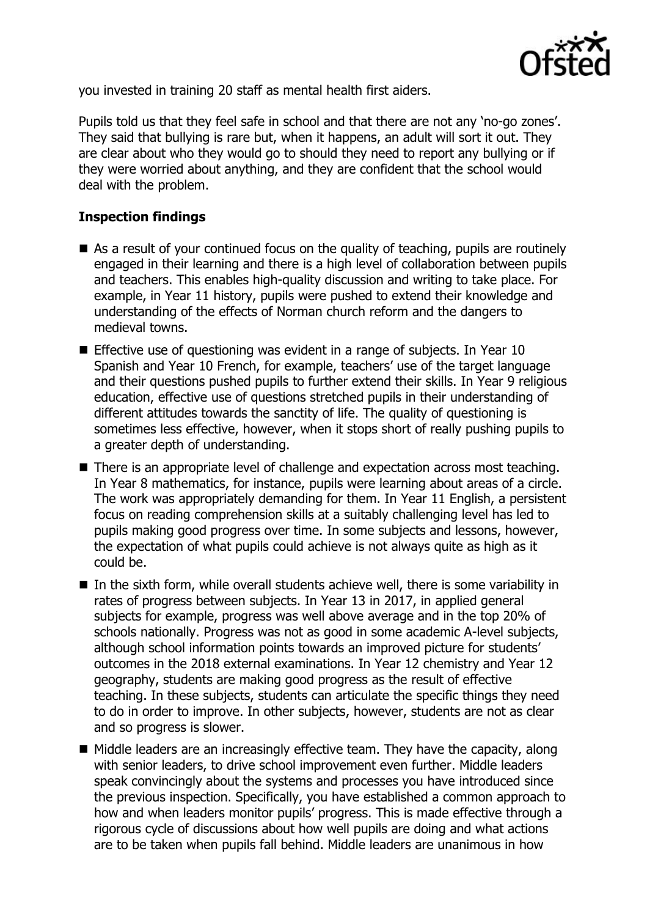

you invested in training 20 staff as mental health first aiders.

Pupils told us that they feel safe in school and that there are not any 'no-go zones'. They said that bullying is rare but, when it happens, an adult will sort it out. They are clear about who they would go to should they need to report any bullying or if they were worried about anything, and they are confident that the school would deal with the problem.

# **Inspection findings**

- As a result of your continued focus on the quality of teaching, pupils are routinely engaged in their learning and there is a high level of collaboration between pupils and teachers. This enables high-quality discussion and writing to take place. For example, in Year 11 history, pupils were pushed to extend their knowledge and understanding of the effects of Norman church reform and the dangers to medieval towns.
- **Effective use of questioning was evident in a range of subjects. In Year 10** Spanish and Year 10 French, for example, teachers' use of the target language and their questions pushed pupils to further extend their skills. In Year 9 religious education, effective use of questions stretched pupils in their understanding of different attitudes towards the sanctity of life. The quality of questioning is sometimes less effective, however, when it stops short of really pushing pupils to a greater depth of understanding.
- There is an appropriate level of challenge and expectation across most teaching. In Year 8 mathematics, for instance, pupils were learning about areas of a circle. The work was appropriately demanding for them. In Year 11 English, a persistent focus on reading comprehension skills at a suitably challenging level has led to pupils making good progress over time. In some subjects and lessons, however, the expectation of what pupils could achieve is not always quite as high as it could be.
- In the sixth form, while overall students achieve well, there is some variability in rates of progress between subjects. In Year 13 in 2017, in applied general subjects for example, progress was well above average and in the top 20% of schools nationally. Progress was not as good in some academic A-level subjects, although school information points towards an improved picture for students' outcomes in the 2018 external examinations. In Year 12 chemistry and Year 12 geography, students are making good progress as the result of effective teaching. In these subjects, students can articulate the specific things they need to do in order to improve. In other subjects, however, students are not as clear and so progress is slower.
- $\blacksquare$  Middle leaders are an increasingly effective team. They have the capacity, along with senior leaders, to drive school improvement even further. Middle leaders speak convincingly about the systems and processes you have introduced since the previous inspection. Specifically, you have established a common approach to how and when leaders monitor pupils' progress. This is made effective through a rigorous cycle of discussions about how well pupils are doing and what actions are to be taken when pupils fall behind. Middle leaders are unanimous in how